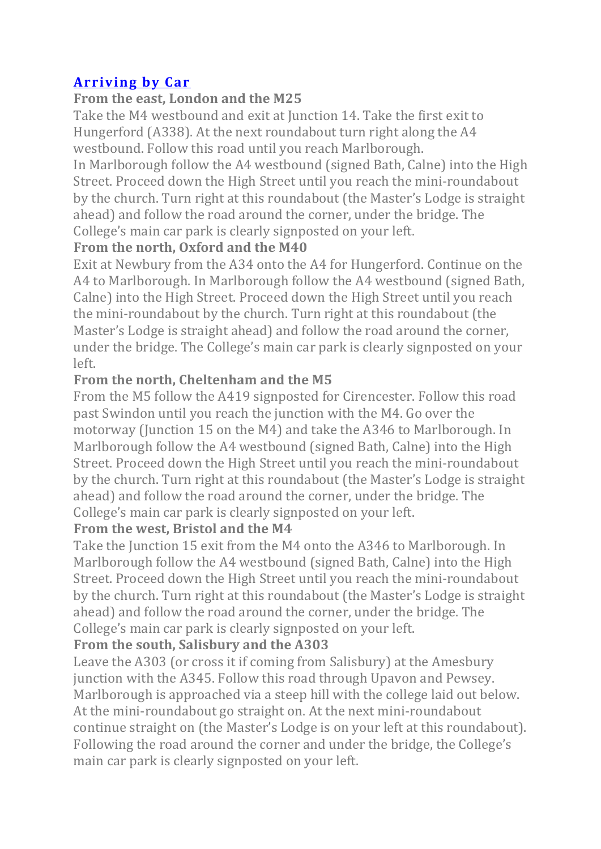# **Arriving by Car**

## **From the east, London and the M25**

Take the M4 westbound and exit at Junction 14. Take the first exit to Hungerford (A338). At the next roundabout turn right along the  $A4$ westbound. Follow this road until you reach Marlborough.

In Marlborough follow the A4 westbound (signed Bath, Calne) into the High Street. Proceed down the High Street until you reach the mini-roundabout by the church. Turn right at this roundabout (the Master's Lodge is straight ahead) and follow the road around the corner, under the bridge. The College's main car park is clearly signposted on your left.

## **From the north, Oxford and the M40**

Exit at Newbury from the A34 onto the A4 for Hungerford. Continue on the A4 to Marlborough. In Marlborough follow the A4 westbound (signed Bath, Calne) into the High Street. Proceed down the High Street until you reach the mini-roundabout by the church. Turn right at this roundabout (the Master's Lodge is straight ahead) and follow the road around the corner, under the bridge. The College's main car park is clearly signposted on your left.

## **From the north, Cheltenham and the M5**

From the M5 follow the A419 signposted for Cirencester. Follow this road past Swindon until you reach the junction with the M4. Go over the motorway (Junction 15 on the M4) and take the A346 to Marlborough. In Marlborough follow the A4 westbound (signed Bath, Calne) into the High Street. Proceed down the High Street until you reach the mini-roundabout by the church. Turn right at this roundabout (the Master's Lodge is straight ahead) and follow the road around the corner, under the bridge. The College's main car park is clearly signposted on your left.

## **From the west, Bristol and the M4**

Take the Junction 15 exit from the M4 onto the A346 to Marlborough. In Marlborough follow the A4 westbound (signed Bath, Calne) into the High Street. Proceed down the High Street until you reach the mini-roundabout by the church. Turn right at this roundabout (the Master's Lodge is straight ahead) and follow the road around the corner, under the bridge. The College's main car park is clearly signposted on your left.

## **From the south, Salisbury and the A303**

Leave the A303 (or cross it if coming from Salisbury) at the Amesbury junction with the A345. Follow this road through Upavon and Pewsey. Marlborough is approached via a steep hill with the college laid out below. At the mini-roundabout go straight on. At the next mini-roundabout continue straight on (the Master's Lodge is on your left at this roundabout). Following the road around the corner and under the bridge, the College's main car park is clearly signposted on your left.